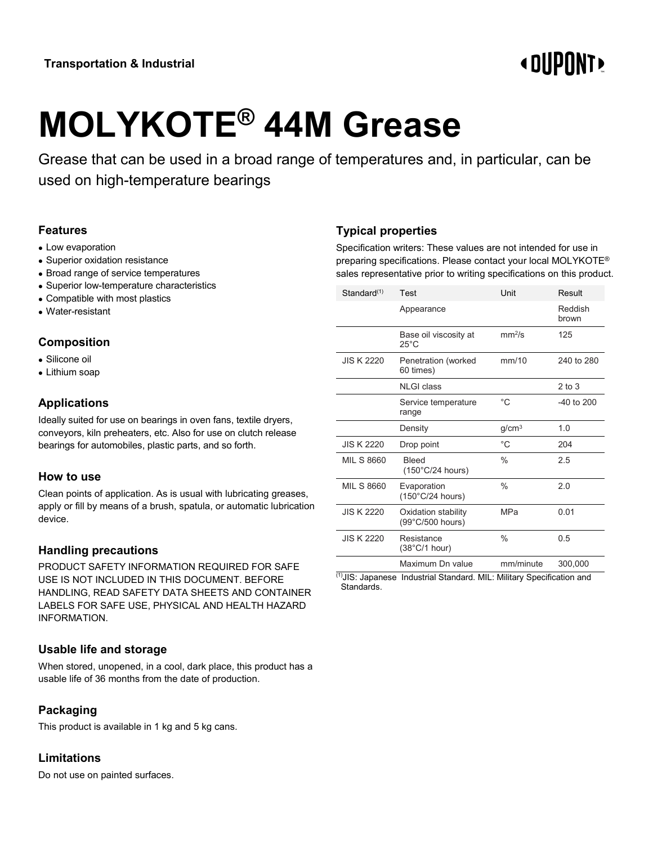# **«OUPONT»**

# **MOLYKOTE® 44M Grease**

Grease that can be used in a broad range of temperatures and, in particular, can be used on high-temperature bearings

#### **Features**

- Low evaporation
- Superior oxidation resistance
- Broad range of service temperatures
- Superior low-temperature characteristics
- Compatible with most plastics
- Water-resistant

# **Composition**

- Silicone oil
- Lithium soap

#### **Applications**

Ideally suited for use on bearings in oven fans, textile dryers, conveyors, kiln preheaters, etc. Also for use on clutch release bearings for automobiles, plastic parts, and so forth.

#### **How to use**

Clean points of application. As is usual with lubricating greases, apply or fill by means of a brush, spatula, or automatic lubrication device.

#### **Handling precautions**

PRODUCT SAFETY INFORMATION REQUIRED FOR SAFE USE IS NOT INCLUDED IN THIS DOCUMENT. BEFORE HANDLING, READ SAFETY DATA SHEETS AND CONTAINER LABELS FOR SAFE USE, PHYSICAL AND HEALTH HAZARD INFORMATION.

#### **Usable life and storage**

When stored, unopened, in a cool, dark place, this product has a usable life of 36 months from the date of production.

# **Packaging**

This product is available in 1 kg and 5 kg cans.

#### **Limitations**

Do not use on painted surfaces.

### **Typical properties**

Specification writers: These values are not intended for use in preparing specifications. Please contact your local MOLYKOTE® sales representative prior to writing specifications on this product.

| Standard <sup>(1)</sup>                                                      | Test                                       | Unit               | Result           |
|------------------------------------------------------------------------------|--------------------------------------------|--------------------|------------------|
|                                                                              | Appearance                                 |                    | Reddish<br>brown |
|                                                                              | Base oil viscosity at<br>$25^{\circ}$ C    | mm <sup>2</sup> /s | 125              |
| <b>JIS K 2220</b>                                                            | Penetration (worked<br>60 times)           | mm/10              | 240 to 280       |
|                                                                              | <b>NLGI</b> class                          |                    | $2$ to $3$       |
|                                                                              | Service temperature<br>range               | $^{\circ}$ C       | $-40$ to $200$   |
|                                                                              | Density                                    | g/cm <sup>3</sup>  | 1.0              |
| <b>JIS K 2220</b>                                                            | Drop point                                 | $^{\circ}$ C       | 204              |
| <b>MIL S 8660</b>                                                            | <b>Bleed</b><br>$(150^{\circ}$ C/24 hours) | $\frac{0}{0}$      | 2.5              |
| MIL S 8660                                                                   | Evaporation<br>$(150^{\circ}C/24$ hours)   | $\%$               | 2.0              |
| <b>JIS K 2220</b>                                                            | Oxidation stability<br>(99°C/500 hours)    | <b>MPa</b>         | 0.01             |
| <b>JIS K 2220</b>                                                            | Resistance<br>$(38^{\circ}C/1$ hour)       | $\%$               | 0.5              |
|                                                                              | Maximum Dn value                           | mm/minute          | 300,000          |
| $(1)$ IIS: Jananese<br>MIL Military Specification and<br>Industrial Standard |                                            |                    |                  |

JIS: Japanese Industrial Standard. MIL: Military Specification and Standards.